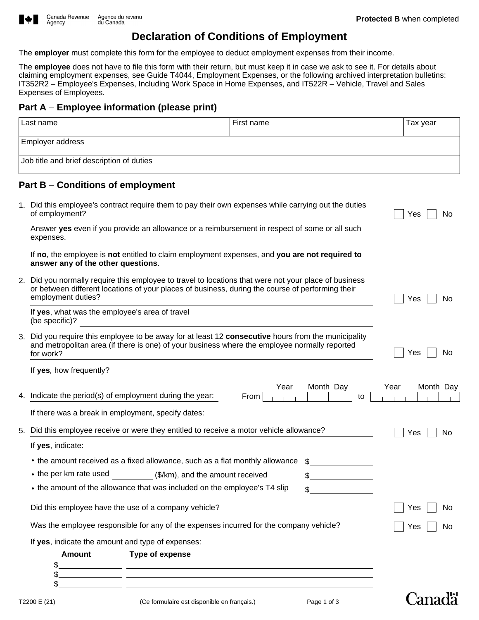

Agency

## **Declaration of Conditions of Employment**

The **employer** must complete this form for the employee to deduct employment expenses from their income.

The **employee** does not have to file this form with their return, but must keep it in case we ask to see it. For details about claiming employment expenses, see Guide T4044, Employment Expenses, or the following archived interpretation bulletins: IT352R2 – Employee's Expenses, Including Work Space in Home Expenses, and IT522R – Vehicle, Travel and Sales Expenses of Employees.

## **Part A** – **Employee information (please print)**

| Part A – Employee information (please print)                                                                                                                                                                                    |                                                                                                      |                 |                   |
|---------------------------------------------------------------------------------------------------------------------------------------------------------------------------------------------------------------------------------|------------------------------------------------------------------------------------------------------|-----------------|-------------------|
| Last name                                                                                                                                                                                                                       | First name                                                                                           |                 | Tax year          |
| <b>Employer address</b>                                                                                                                                                                                                         |                                                                                                      |                 |                   |
| Job title and brief description of duties                                                                                                                                                                                       |                                                                                                      |                 |                   |
| Part B - Conditions of employment                                                                                                                                                                                               |                                                                                                      |                 |                   |
| of employment?                                                                                                                                                                                                                  | 1. Did this employee's contract require them to pay their own expenses while carrying out the duties |                 |                   |
| Answer yes even if you provide an allowance or a reimbursement in respect of some or all such<br>expenses.                                                                                                                      |                                                                                                      |                 |                   |
| If no, the employee is not entitled to claim employment expenses, and you are not required to<br>answer any of the other questions.                                                                                             |                                                                                                      |                 |                   |
| 2. Did you normally require this employee to travel to locations that were not your place of business<br>or between different locations of your places of business, during the course of performing their<br>employment duties? |                                                                                                      |                 | Yes<br>No         |
| If yes, what was the employee's area of travel<br>(be specific)?                                                                                                                                                                |                                                                                                      |                 |                   |
| 3. Did you require this employee to be away for at least 12 consecutive hours from the municipality<br>and metropolitan area (if there is one) of your business where the employee normally reported<br>for work?               |                                                                                                      |                 | No<br>Yes         |
| If yes, how frequently?                                                                                                                                                                                                         | <u> 1990 - Jan Alexandria (h. 1980).</u>                                                             |                 |                   |
| 4. Indicate the period(s) of employment during the year:                                                                                                                                                                        | Year<br>From                                                                                         | Month Day<br>to | Month Day<br>Year |
| If there was a break in employment, specify dates:                                                                                                                                                                              |                                                                                                      |                 |                   |
| 5.                                                                                                                                                                                                                              | Did this employee receive or were they entitled to receive a motor vehicle allowance?                |                 |                   |
| If yes, indicate:                                                                                                                                                                                                               |                                                                                                      |                 |                   |
| • the amount received as a fixed allowance, such as a flat monthly allowance                                                                                                                                                    |                                                                                                      |                 |                   |
| • the per km rate used                                                                                                                                                                                                          | (\$/km), and the amount received                                                                     |                 |                   |
| • the amount of the allowance that was included on the employee's T4 slip                                                                                                                                                       |                                                                                                      |                 |                   |
| Did this employee have the use of a company vehicle?                                                                                                                                                                            |                                                                                                      |                 | No<br>Yes         |
| Was the employee responsible for any of the expenses incurred for the company vehicle?                                                                                                                                          |                                                                                                      |                 | No<br>Yes         |
| If yes, indicate the amount and type of expenses:                                                                                                                                                                               |                                                                                                      |                 |                   |

**Amount Type of expense**



**Canada**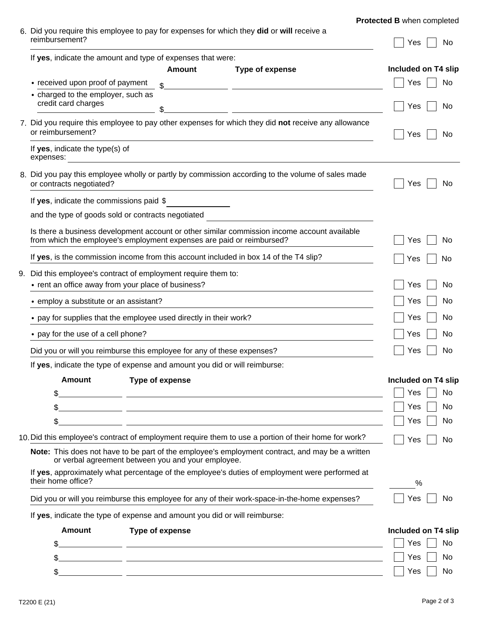| Protected B when completed |  |  |  |  |
|----------------------------|--|--|--|--|
|----------------------------|--|--|--|--|

| 6. Did you require this employee to pay for expenses for which they did or will receive a |            |
|-------------------------------------------------------------------------------------------|------------|
| reimbursement?                                                                            | $Yes$   No |

|    | ו החווט מו אפווויסו                                                                                                                                   |                 |                                                                                                                         | Yes<br>N0                  |
|----|-------------------------------------------------------------------------------------------------------------------------------------------------------|-----------------|-------------------------------------------------------------------------------------------------------------------------|----------------------------|
|    | If yes, indicate the amount and type of expenses that were:                                                                                           |                 |                                                                                                                         |                            |
|    |                                                                                                                                                       | <b>Amount</b>   | Type of expense                                                                                                         | Included on T4 slip        |
|    | • received upon proof of payment                                                                                                                      | $\mathcal{L}$   |                                                                                                                         | No<br>Yes                  |
|    | • charged to the employer, such as<br>credit card charges                                                                                             | \$              |                                                                                                                         | Yes<br>No                  |
|    | or reimbursement?                                                                                                                                     |                 | 7. Did you require this employee to pay other expenses for which they did not receive any allowance                     | Yes<br>No                  |
|    | If yes, indicate the type(s) of<br>expenses:                                                                                                          |                 |                                                                                                                         |                            |
|    | or contracts negotiated?                                                                                                                              |                 | 8. Did you pay this employee wholly or partly by commission according to the volume of sales made                       | Yes<br>No                  |
|    | If yes, indicate the commissions paid \$                                                                                                              |                 |                                                                                                                         |                            |
|    | and the type of goods sold or contracts negotiated                                                                                                    |                 |                                                                                                                         |                            |
|    | from which the employee's employment expenses are paid or reimbursed?                                                                                 |                 | Is there a business development account or other similar commission income account available                            | Yes<br>No                  |
|    | If yes, is the commission income from this account included in box 14 of the T4 slip?                                                                 |                 |                                                                                                                         | Yes<br>No.                 |
| 9. | Did this employee's contract of employment require them to:                                                                                           |                 |                                                                                                                         |                            |
|    | • rent an office away from your place of business?                                                                                                    |                 |                                                                                                                         | No<br>Yes                  |
|    | • employ a substitute or an assistant?                                                                                                                |                 |                                                                                                                         | No<br>Yes                  |
|    | • pay for supplies that the employee used directly in their work?                                                                                     |                 |                                                                                                                         | No<br>Yes                  |
|    | • pay for the use of a cell phone?                                                                                                                    |                 |                                                                                                                         | No<br>Yes                  |
|    | Did you or will you reimburse this employee for any of these expenses?                                                                                |                 |                                                                                                                         | No<br>Yes                  |
|    | If yes, indicate the type of expense and amount you did or will reimburse:                                                                            |                 |                                                                                                                         |                            |
|    | <b>Amount</b>                                                                                                                                         | Type of expense |                                                                                                                         | Included on T4 slip        |
|    | \$                                                                                                                                                    |                 |                                                                                                                         | $\vert$   Yes $\vert$   No |
|    | \$                                                                                                                                                    |                 | <u> 1989 - Johann Stoff, deutscher Stoff, der Stoff, der Stoff, der Stoff, der Stoff, der Stoff, der Stoff, der S</u>   | No<br>Yes                  |
|    | \$                                                                                                                                                    |                 |                                                                                                                         | No<br>Yes                  |
|    |                                                                                                                                                       |                 | 10. Did this employee's contract of employment require them to use a portion of their home for work?                    | Yes<br>No                  |
|    | Note: This does not have to be part of the employee's employment contract, and may be a written<br>or verbal agreement between you and your employee. |                 |                                                                                                                         |                            |
|    | If yes, approximately what percentage of the employee's duties of employment were performed at<br>their home office?                                  |                 |                                                                                                                         | %                          |
|    | Did you or will you reimburse this employee for any of their work-space-in-the-home expenses?                                                         |                 |                                                                                                                         | Yes<br>No                  |
|    | If yes, indicate the type of expense and amount you did or will reimburse:                                                                            |                 |                                                                                                                         |                            |
|    | <b>Amount</b>                                                                                                                                         | Type of expense |                                                                                                                         | Included on T4 slip        |
|    | \$                                                                                                                                                    |                 | <u> 1989 - Johann John Stone, mars et al. (1989)</u>                                                                    | No<br>Yes                  |
|    | \$                                                                                                                                                    |                 | <u> 1989 - An Aonaichte ann an Cathair an Chuid ann an Chuid ann an Chuid ann an Chuid ann an Chuid ann an Chuid an</u> | No<br>Yes                  |
|    | \$                                                                                                                                                    |                 | <u> 1989 - Johann John Stone, mension berkenaar di sebagai personal di sebagai personal di sebagai personal di s</u>    | Yes<br>No                  |